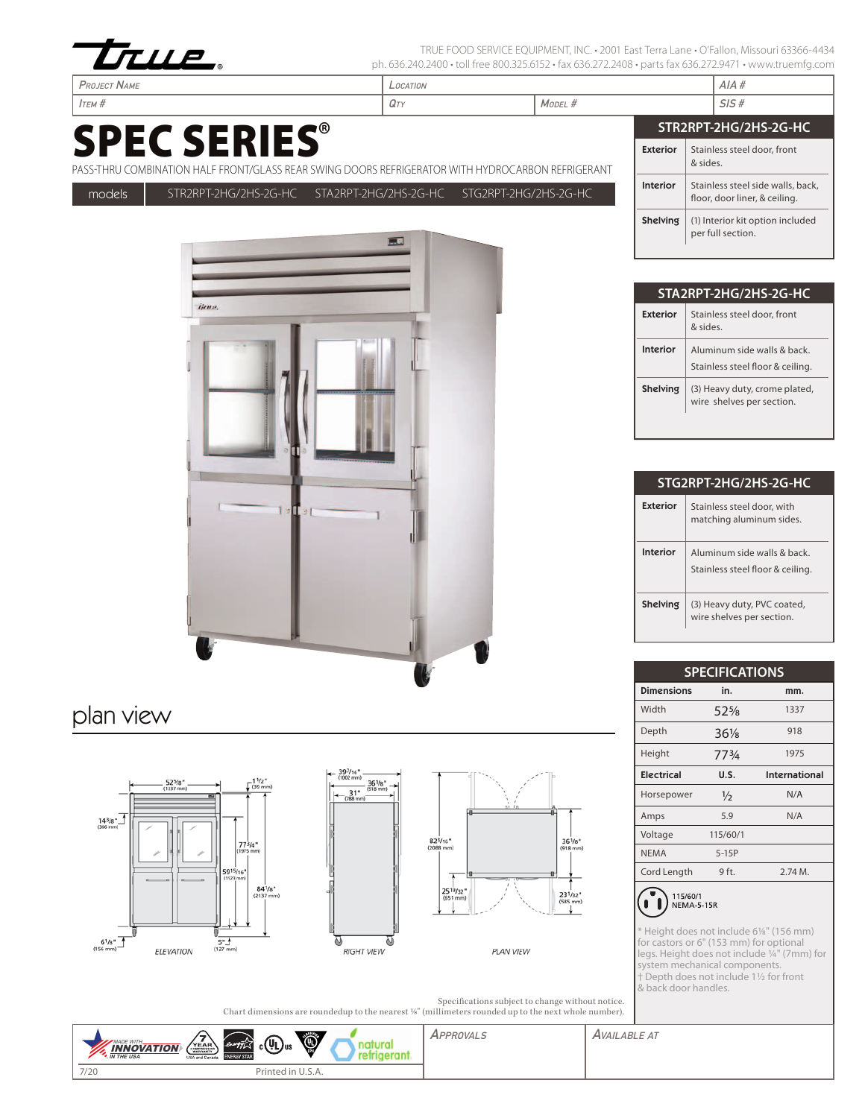

TRUE FOOD SERVICE EQUIPMENT, INC. • 2001 East Terra Lane • O'Fallon, Missouri 63366-4434 ph. 636.240.2400 • toll free 800.325.6152 • fax 636.272.2408 • parts fax 636.272.9471 • www.truemfg.com

# SPEC SERIES®

Project Name Location AIA #



### plan view







**PLAN VIEW** 

Specifications subject to change without notice. Chart dimensions are roundedup to the nearest 1/8" (millimeters rounded up to the next whole number).



| Ітєм #              |                                                                                                  | $Q_T$ |                       | MODEL #               |                 | SIS#                                                               |
|---------------------|--------------------------------------------------------------------------------------------------|-------|-----------------------|-----------------------|-----------------|--------------------------------------------------------------------|
| <b>SPEC SERIES®</b> |                                                                                                  |       |                       | STR2RPT-2HG/2HS-2G-HC |                 |                                                                    |
|                     | ASS-THRU COMBINATION HALF FRONT/GLASS REAR SWING DOORS REFRIGERATOR WITH HYDROCARBON REFRIGERANT |       |                       |                       | <b>Exterior</b> | Stainless steel door, front<br>& sides.                            |
| models              | STR2RPT-2HG/2HS-2G-HC STA2RPT-2HG/2HS-2G-HC                                                      |       | STG2RPT-2HG/2HS-2G-HC |                       | <b>Interior</b> | Stainless steel side walls, back,<br>floor, door liner, & ceiling. |
|                     |                                                                                                  | □■    |                       |                       | Shelving        | (1) Interior kit option included<br>per full section.              |

| STA2RPT-2HG/2HS-2G-HC |                                                                |  |  |  |
|-----------------------|----------------------------------------------------------------|--|--|--|
| Exterior              | Stainless steel door, front<br>aniz &                          |  |  |  |
| Interior              | Aluminum side walls & back<br>Stainless steel floor & ceiling. |  |  |  |
| <b>Shelving</b>       | (3) Heavy duty, crome plated,<br>wire shelves per section.     |  |  |  |

| STG2RPT-2HG/2HS-2G-HC |                                                                |  |  |  |
|-----------------------|----------------------------------------------------------------|--|--|--|
| Exterior              | Stainless steel door, with<br>matching aluminum sides.         |  |  |  |
| Interior              | Aluminum side walls & back<br>Stainless steel floor & ceiling. |  |  |  |
| <b>Shelving</b>       | (3) Heavy duty, PVC coated,<br>wire shelves per section.       |  |  |  |

| <b>SPECIFICATIONS</b> |               |               |  |  |  |
|-----------------------|---------------|---------------|--|--|--|
| <b>Dimensions</b>     | in.           | mm.           |  |  |  |
| Width                 | $52\%$        | 1337          |  |  |  |
| Depth                 | $36\%$        | 918           |  |  |  |
| Height                | 773/4         | 1975          |  |  |  |
| <b>Electrical</b>     | U.S.          | International |  |  |  |
| Horsepower            | $\frac{1}{2}$ | N/A           |  |  |  |
| Amps                  | 5.9           | N/A           |  |  |  |
| Voltage               | 115/60/1      |               |  |  |  |
| <b>NEMA</b>           | $5-15P$       |               |  |  |  |
| Cord Length           | 9 ft.         | 2.74M.        |  |  |  |
|                       |               |               |  |  |  |



\* Height does not include 61/8" (156 mm) for castors or 6" (153 mm) for optional legs. Height does not include 1/4" (7mm) for system mechanical components. † Depth does not include 11/2 for front & back door handles.